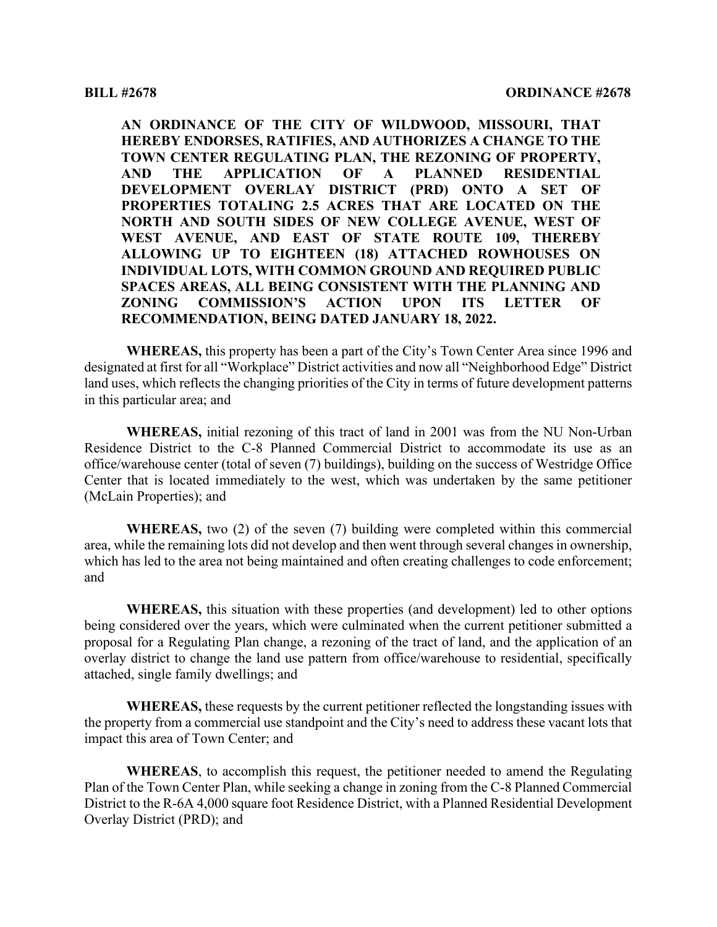**AN ORDINANCE OF THE CITY OF WILDWOOD, MISSOURI, THAT HEREBY ENDORSES, RATIFIES, AND AUTHORIZES A CHANGE TO THE TOWN CENTER REGULATING PLAN, THE REZONING OF PROPERTY, AND THE APPLICATION OF A PLANNED RESIDENTIAL DEVELOPMENT OVERLAY DISTRICT (PRD) ONTO A SET OF PROPERTIES TOTALING 2.5 ACRES THAT ARE LOCATED ON THE NORTH AND SOUTH SIDES OF NEW COLLEGE AVENUE, WEST OF WEST AVENUE, AND EAST OF STATE ROUTE 109, THEREBY ALLOWING UP TO EIGHTEEN (18) ATTACHED ROWHOUSES ON INDIVIDUAL LOTS, WITH COMMON GROUND AND REQUIRED PUBLIC SPACES AREAS, ALL BEING CONSISTENT WITH THE PLANNING AND ZONING COMMISSION'S ACTION UPON ITS LETTER OF RECOMMENDATION, BEING DATED JANUARY 18, 2022.**

**WHEREAS,** this property has been a part of the City's Town Center Area since 1996 and designated at first for all "Workplace" District activities and now all "Neighborhood Edge" District land uses, which reflects the changing priorities of the City in terms of future development patterns in this particular area; and

**WHEREAS,** initial rezoning of this tract of land in 2001 was from the NU Non-Urban Residence District to the C-8 Planned Commercial District to accommodate its use as an office/warehouse center (total of seven (7) buildings), building on the success of Westridge Office Center that is located immediately to the west, which was undertaken by the same petitioner (McLain Properties); and

**WHEREAS,** two (2) of the seven (7) building were completed within this commercial area, while the remaining lots did not develop and then went through several changes in ownership, which has led to the area not being maintained and often creating challenges to code enforcement; and

**WHEREAS,** this situation with these properties (and development) led to other options being considered over the years, which were culminated when the current petitioner submitted a proposal for a Regulating Plan change, a rezoning of the tract of land, and the application of an overlay district to change the land use pattern from office/warehouse to residential, specifically attached, single family dwellings; and

**WHEREAS,** these requests by the current petitioner reflected the longstanding issues with the property from a commercial use standpoint and the City's need to address these vacant lots that impact this area of Town Center; and

**WHEREAS**, to accomplish this request, the petitioner needed to amend the Regulating Plan of the Town Center Plan, while seeking a change in zoning from the C-8 Planned Commercial District to the R-6A 4,000 square foot Residence District, with a Planned Residential Development Overlay District (PRD); and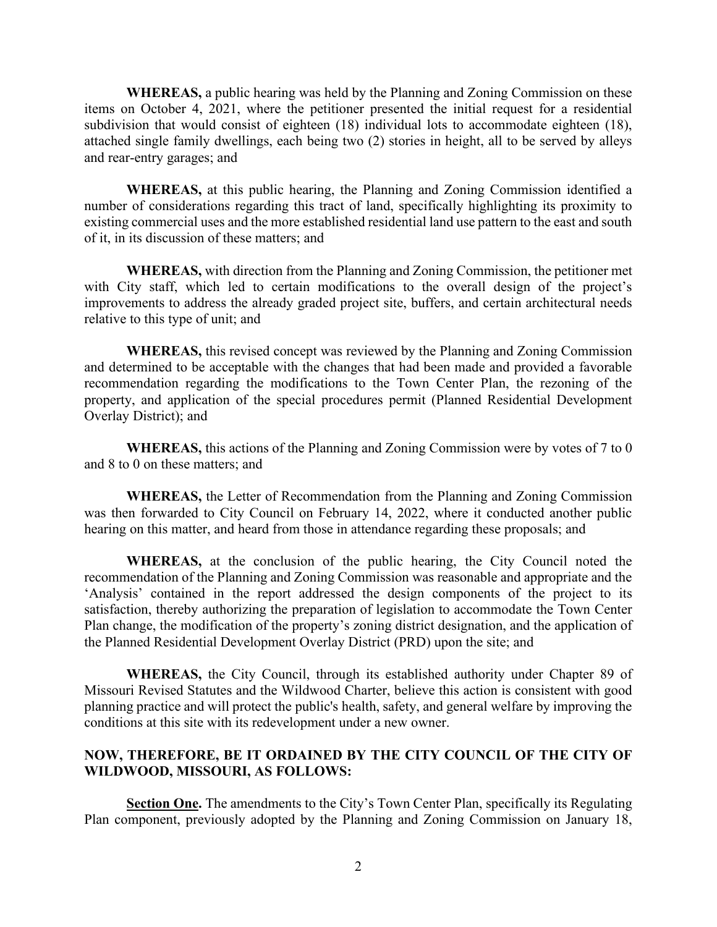**WHEREAS,** a public hearing was held by the Planning and Zoning Commission on these items on October 4, 2021, where the petitioner presented the initial request for a residential subdivision that would consist of eighteen (18) individual lots to accommodate eighteen (18), attached single family dwellings, each being two (2) stories in height, all to be served by alleys and rear-entry garages; and

**WHEREAS,** at this public hearing, the Planning and Zoning Commission identified a number of considerations regarding this tract of land, specifically highlighting its proximity to existing commercial uses and the more established residential land use pattern to the east and south of it, in its discussion of these matters; and

**WHEREAS,** with direction from the Planning and Zoning Commission, the petitioner met with City staff, which led to certain modifications to the overall design of the project's improvements to address the already graded project site, buffers, and certain architectural needs relative to this type of unit; and

**WHEREAS,** this revised concept was reviewed by the Planning and Zoning Commission and determined to be acceptable with the changes that had been made and provided a favorable recommendation regarding the modifications to the Town Center Plan, the rezoning of the property, and application of the special procedures permit (Planned Residential Development Overlay District); and

**WHEREAS,** this actions of the Planning and Zoning Commission were by votes of 7 to 0 and 8 to 0 on these matters; and

**WHEREAS,** the Letter of Recommendation from the Planning and Zoning Commission was then forwarded to City Council on February 14, 2022, where it conducted another public hearing on this matter, and heard from those in attendance regarding these proposals; and

**WHEREAS,** at the conclusion of the public hearing, the City Council noted the recommendation of the Planning and Zoning Commission was reasonable and appropriate and the 'Analysis' contained in the report addressed the design components of the project to its satisfaction, thereby authorizing the preparation of legislation to accommodate the Town Center Plan change, the modification of the property's zoning district designation, and the application of the Planned Residential Development Overlay District (PRD) upon the site; and

**WHEREAS,** the City Council, through its established authority under Chapter 89 of Missouri Revised Statutes and the Wildwood Charter, believe this action is consistent with good planning practice and will protect the public's health, safety, and general welfare by improving the conditions at this site with its redevelopment under a new owner.

## **NOW, THEREFORE, BE IT ORDAINED BY THE CITY COUNCIL OF THE CITY OF WILDWOOD, MISSOURI, AS FOLLOWS:**

**Section One.** The amendments to the City's Town Center Plan, specifically its Regulating Plan component, previously adopted by the Planning and Zoning Commission on January 18,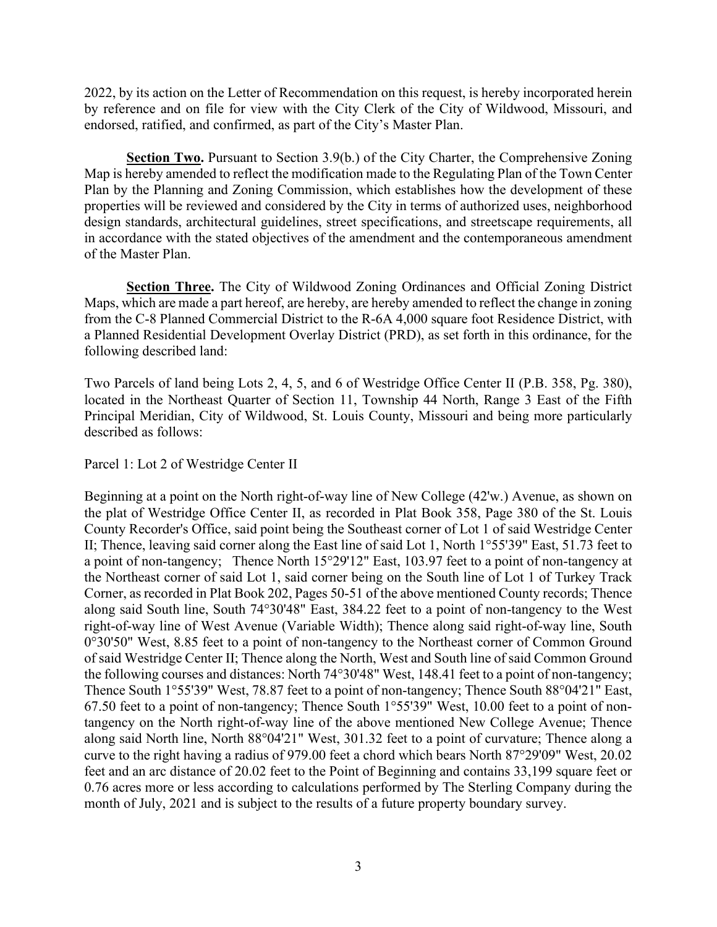2022, by its action on the Letter of Recommendation on this request, is hereby incorporated herein by reference and on file for view with the City Clerk of the City of Wildwood, Missouri, and endorsed, ratified, and confirmed, as part of the City's Master Plan.

**Section Two.** Pursuant to Section 3.9(b.) of the City Charter, the Comprehensive Zoning Map is hereby amended to reflect the modification made to the Regulating Plan of the Town Center Plan by the Planning and Zoning Commission, which establishes how the development of these properties will be reviewed and considered by the City in terms of authorized uses, neighborhood design standards, architectural guidelines, street specifications, and streetscape requirements, all in accordance with the stated objectives of the amendment and the contemporaneous amendment of the Master Plan.

**Section Three.** The City of Wildwood Zoning Ordinances and Official Zoning District Maps, which are made a part hereof, are hereby, are hereby amended to reflect the change in zoning from the C-8 Planned Commercial District to the R-6A 4,000 square foot Residence District, with a Planned Residential Development Overlay District (PRD), as set forth in this ordinance, for the following described land:

Two Parcels of land being Lots 2, 4, 5, and 6 of Westridge Office Center II (P.B. 358, Pg. 380), located in the Northeast Quarter of Section 11, Township 44 North, Range 3 East of the Fifth Principal Meridian, City of Wildwood, St. Louis County, Missouri and being more particularly described as follows:

Parcel 1: Lot 2 of Westridge Center II

Beginning at a point on the North right-of-way line of New College (42'w.) Avenue, as shown on the plat of Westridge Office Center II, as recorded in Plat Book 358, Page 380 of the St. Louis County Recorder's Office, said point being the Southeast corner of Lot 1 of said Westridge Center II; Thence, leaving said corner along the East line of said Lot 1, North 1°55'39" East, 51.73 feet to a point of non-tangency; Thence North 15°29'12" East, 103.97 feet to a point of non-tangency at the Northeast corner of said Lot 1, said corner being on the South line of Lot 1 of Turkey Track Corner, as recorded in Plat Book 202, Pages 50-51 of the above mentioned County records; Thence along said South line, South 74°30'48" East, 384.22 feet to a point of non-tangency to the West right-of-way line of West Avenue (Variable Width); Thence along said right-of-way line, South 0°30'50" West, 8.85 feet to a point of non-tangency to the Northeast corner of Common Ground of said Westridge Center II; Thence along the North, West and South line of said Common Ground the following courses and distances: North 74°30'48" West, 148.41 feet to a point of non-tangency; Thence South 1°55'39" West, 78.87 feet to a point of non-tangency; Thence South 88°04'21" East, 67.50 feet to a point of non-tangency; Thence South 1°55'39" West, 10.00 feet to a point of nontangency on the North right-of-way line of the above mentioned New College Avenue; Thence along said North line, North 88°04'21" West, 301.32 feet to a point of curvature; Thence along a curve to the right having a radius of 979.00 feet a chord which bears North 87°29'09" West, 20.02 feet and an arc distance of 20.02 feet to the Point of Beginning and contains 33,199 square feet or 0.76 acres more or less according to calculations performed by The Sterling Company during the month of July, 2021 and is subject to the results of a future property boundary survey.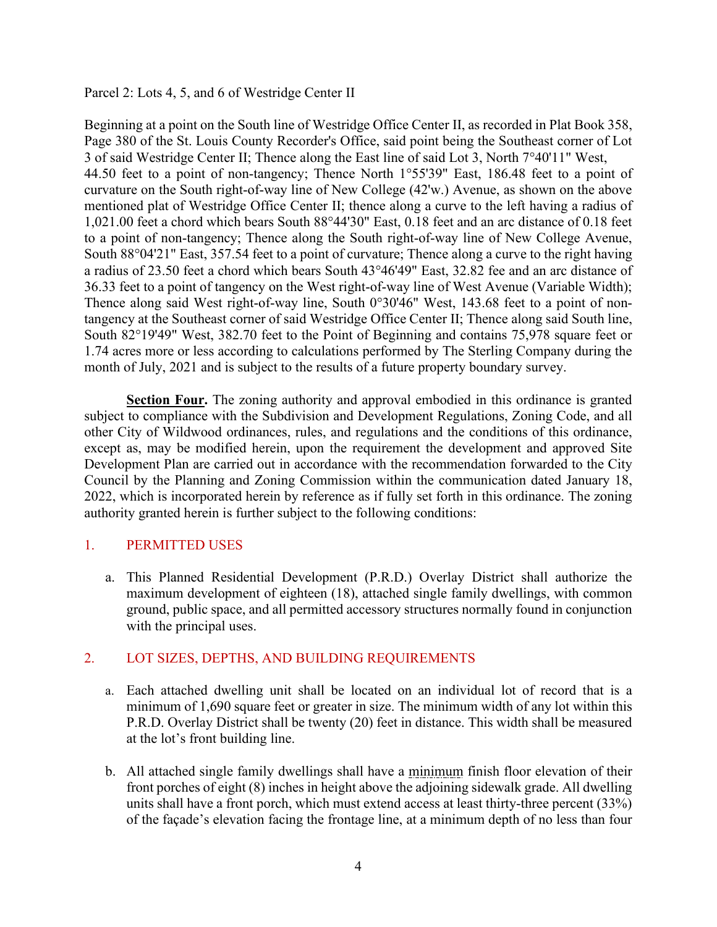Parcel 2: Lots 4, 5, and 6 of Westridge Center II

Beginning at a point on the South line of Westridge Office Center II, as recorded in Plat Book 358, Page 380 of the St. Louis County Recorder's Office, said point being the Southeast corner of Lot 3 of said Westridge Center II; Thence along the East line of said Lot 3, North 7°40'11" West, 44.50 feet to a point of non-tangency; Thence North 1°55'39" East, 186.48 feet to a point of curvature on the South right-of-way line of New College (42'w.) Avenue, as shown on the above mentioned plat of Westridge Office Center II; thence along a curve to the left having a radius of 1,021.00 feet a chord which bears South 88°44'30" East, 0.18 feet and an arc distance of 0.18 feet to a point of non-tangency; Thence along the South right-of-way line of New College Avenue, South 88°04'21" East, 357.54 feet to a point of curvature; Thence along a curve to the right having a radius of 23.50 feet a chord which bears South 43°46'49" East, 32.82 fee and an arc distance of 36.33 feet to a point of tangency on the West right-of-way line of West Avenue (Variable Width); Thence along said West right-of-way line, South 0°30'46" West, 143.68 feet to a point of nontangency at the Southeast corner of said Westridge Office Center II; Thence along said South line, South 82°19'49" West, 382.70 feet to the Point of Beginning and contains 75,978 square feet or 1.74 acres more or less according to calculations performed by The Sterling Company during the month of July, 2021 and is subject to the results of a future property boundary survey.

**Section Four.** The zoning authority and approval embodied in this ordinance is granted subject to compliance with the Subdivision and Development Regulations, Zoning Code, and all other City of Wildwood ordinances, rules, and regulations and the conditions of this ordinance, except as, may be modified herein, upon the requirement the development and approved Site Development Plan are carried out in accordance with the recommendation forwarded to the City Council by the Planning and Zoning Commission within the communication dated January 18, 2022, which is incorporated herein by reference as if fully set forth in this ordinance. The zoning authority granted herein is further subject to the following conditions:

# 1. PERMITTED USES

a. This Planned Residential Development (P.R.D.) Overlay District shall authorize the maximum development of eighteen (18), attached single family dwellings, with common ground, public space, and all permitted accessory structures normally found in conjunction with the principal uses.

#### 2. LOT SIZES, DEPTHS, AND BUILDING REQUIREMENTS

- a. Each attached dwelling unit shall be located on an individual lot of record that is a minimum of 1,690 square feet or greater in size. The minimum width of any lot within this P.R.D. Overlay District shall be twenty (20) feet in distance. This width shall be measured at the lot's front building line.
- b. All attached single family dwellings shall have a minimum finish floor elevation of their front porches of eight (8) inches in height above the adjoining sidewalk grade. All dwelling units shall have a front porch, which must extend access at least thirty-three percent (33%) of the façade's elevation facing the frontage line, at a minimum depth of no less than four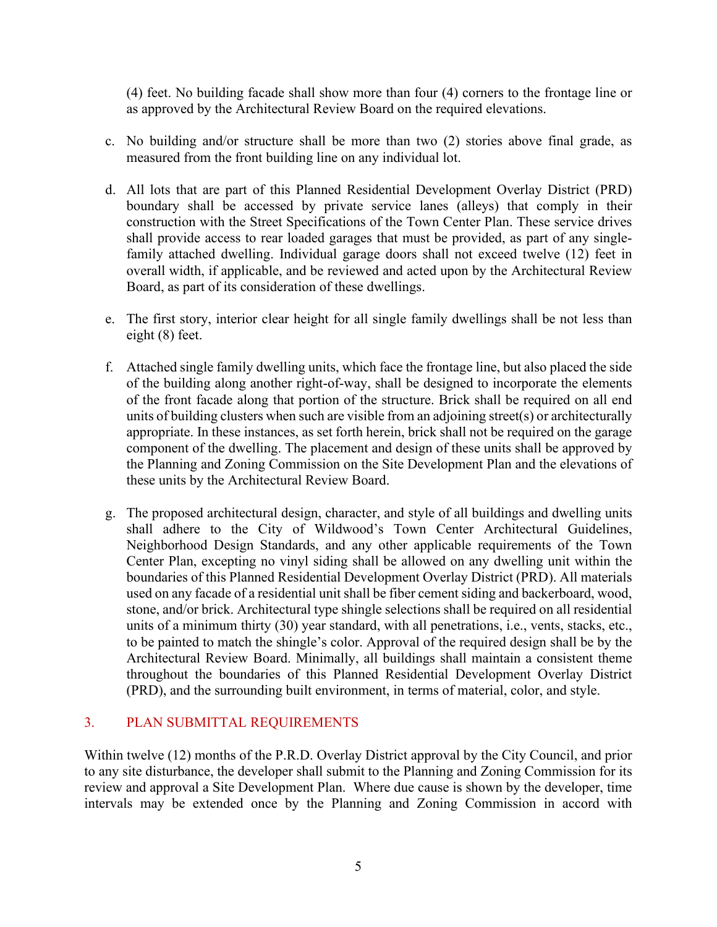(4) feet. No building facade shall show more than four (4) corners to the frontage line or as approved by the Architectural Review Board on the required elevations.

- c. No building and/or structure shall be more than two (2) stories above final grade, as measured from the front building line on any individual lot.
- d. All lots that are part of this Planned Residential Development Overlay District (PRD) boundary shall be accessed by private service lanes (alleys) that comply in their construction with the Street Specifications of the Town Center Plan. These service drives shall provide access to rear loaded garages that must be provided, as part of any singlefamily attached dwelling. Individual garage doors shall not exceed twelve (12) feet in overall width, if applicable, and be reviewed and acted upon by the Architectural Review Board, as part of its consideration of these dwellings.
- e. The first story, interior clear height for all single family dwellings shall be not less than eight (8) feet.
- f. Attached single family dwelling units, which face the frontage line, but also placed the side of the building along another right-of-way, shall be designed to incorporate the elements of the front facade along that portion of the structure. Brick shall be required on all end units of building clusters when such are visible from an adjoining street(s) or architecturally appropriate. In these instances, as set forth herein, brick shall not be required on the garage component of the dwelling. The placement and design of these units shall be approved by the Planning and Zoning Commission on the Site Development Plan and the elevations of these units by the Architectural Review Board.
- g. The proposed architectural design, character, and style of all buildings and dwelling units shall adhere to the City of Wildwood's Town Center Architectural Guidelines, Neighborhood Design Standards, and any other applicable requirements of the Town Center Plan, excepting no vinyl siding shall be allowed on any dwelling unit within the boundaries of this Planned Residential Development Overlay District (PRD). All materials used on any facade of a residential unit shall be fiber cement siding and backerboard, wood, stone, and/or brick. Architectural type shingle selections shall be required on all residential units of a minimum thirty (30) year standard, with all penetrations, i.e., vents, stacks, etc., to be painted to match the shingle's color. Approval of the required design shall be by the Architectural Review Board. Minimally, all buildings shall maintain a consistent theme throughout the boundaries of this Planned Residential Development Overlay District (PRD), and the surrounding built environment, in terms of material, color, and style.

# 3. PLAN SUBMITTAL REQUIREMENTS

Within twelve (12) months of the P.R.D. Overlay District approval by the City Council, and prior to any site disturbance, the developer shall submit to the Planning and Zoning Commission for its review and approval a Site Development Plan. Where due cause is shown by the developer, time intervals may be extended once by the Planning and Zoning Commission in accord with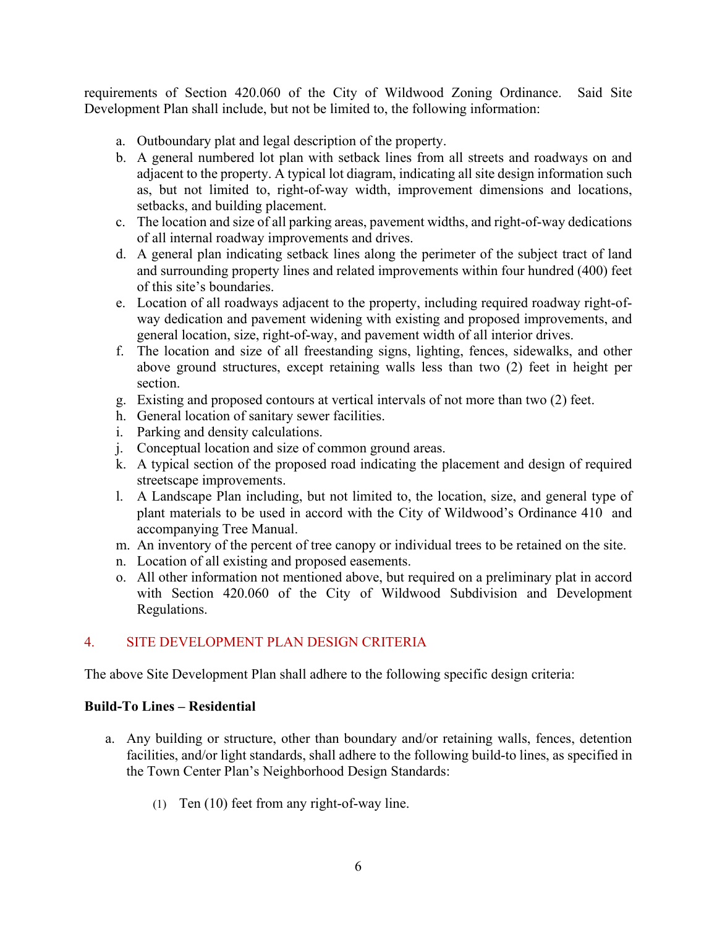requirements of Section 420.060 of the City of Wildwood Zoning Ordinance. Said Site Development Plan shall include, but not be limited to, the following information:

- a. Outboundary plat and legal description of the property.
- b. A general numbered lot plan with setback lines from all streets and roadways on and adjacent to the property. A typical lot diagram, indicating all site design information such as, but not limited to, right-of-way width, improvement dimensions and locations, setbacks, and building placement.
- c. The location and size of all parking areas, pavement widths, and right-of-way dedications of all internal roadway improvements and drives.
- d. A general plan indicating setback lines along the perimeter of the subject tract of land and surrounding property lines and related improvements within four hundred (400) feet of this site's boundaries.
- e. Location of all roadways adjacent to the property, including required roadway right-ofway dedication and pavement widening with existing and proposed improvements, and general location, size, right-of-way, and pavement width of all interior drives.
- f. The location and size of all freestanding signs, lighting, fences, sidewalks, and other above ground structures, except retaining walls less than two (2) feet in height per section.
- g. Existing and proposed contours at vertical intervals of not more than two (2) feet.
- h. General location of sanitary sewer facilities.
- i. Parking and density calculations.
- j. Conceptual location and size of common ground areas.
- k. A typical section of the proposed road indicating the placement and design of required streetscape improvements.
- l. A Landscape Plan including, but not limited to, the location, size, and general type of plant materials to be used in accord with the City of Wildwood's Ordinance 410 and accompanying Tree Manual.
- m. An inventory of the percent of tree canopy or individual trees to be retained on the site.
- n. Location of all existing and proposed easements.
- o. All other information not mentioned above, but required on a preliminary plat in accord with Section 420.060 of the City of Wildwood Subdivision and Development Regulations.

# 4. SITE DEVELOPMENT PLAN DESIGN CRITERIA

The above Site Development Plan shall adhere to the following specific design criteria:

#### **Build-To Lines – Residential**

- a. Any building or structure, other than boundary and/or retaining walls, fences, detention facilities, and/or light standards, shall adhere to the following build-to lines, as specified in the Town Center Plan's Neighborhood Design Standards:
	- (1) Ten (10) feet from any right-of-way line.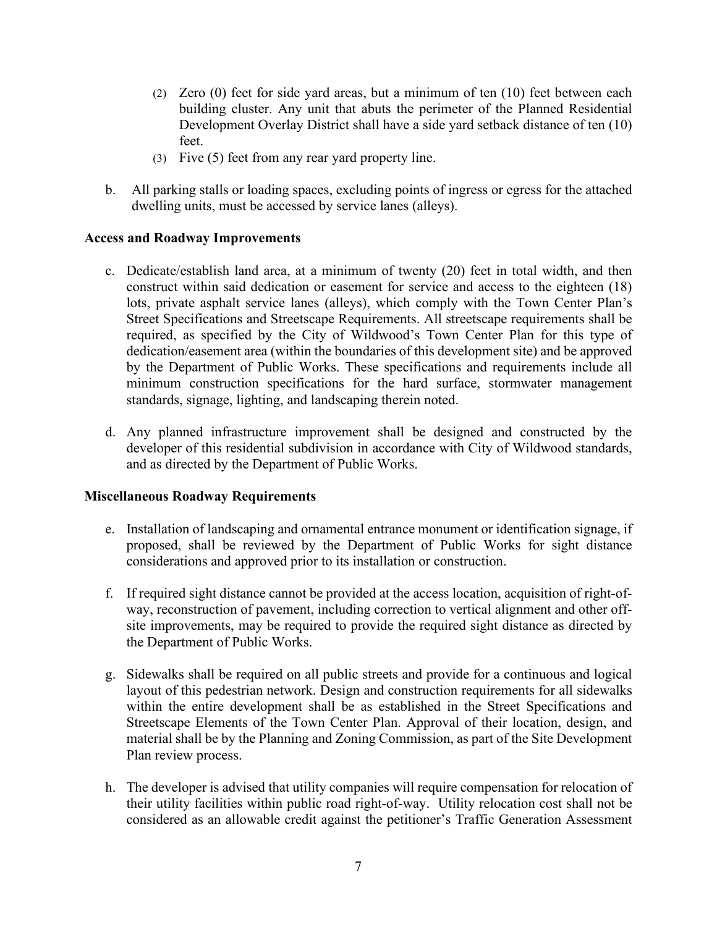- (2) Zero (0) feet for side yard areas, but a minimum of ten (10) feet between each building cluster. Any unit that abuts the perimeter of the Planned Residential Development Overlay District shall have a side yard setback distance of ten (10) feet.
- (3) Five (5) feet from any rear yard property line.
- b. All parking stalls or loading spaces, excluding points of ingress or egress for the attached dwelling units, must be accessed by service lanes (alleys).

#### **Access and Roadway Improvements**

- c. Dedicate/establish land area, at a minimum of twenty (20) feet in total width, and then construct within said dedication or easement for service and access to the eighteen (18) lots, private asphalt service lanes (alleys), which comply with the Town Center Plan's Street Specifications and Streetscape Requirements. All streetscape requirements shall be required, as specified by the City of Wildwood's Town Center Plan for this type of dedication/easement area (within the boundaries of this development site) and be approved by the Department of Public Works. These specifications and requirements include all minimum construction specifications for the hard surface, stormwater management standards, signage, lighting, and landscaping therein noted.
- d. Any planned infrastructure improvement shall be designed and constructed by the developer of this residential subdivision in accordance with City of Wildwood standards, and as directed by the Department of Public Works.

#### **Miscellaneous Roadway Requirements**

- e. Installation of landscaping and ornamental entrance monument or identification signage, if proposed, shall be reviewed by the Department of Public Works for sight distance considerations and approved prior to its installation or construction.
- f. If required sight distance cannot be provided at the access location, acquisition of right-ofway, reconstruction of pavement, including correction to vertical alignment and other offsite improvements, may be required to provide the required sight distance as directed by the Department of Public Works.
- g. Sidewalks shall be required on all public streets and provide for a continuous and logical layout of this pedestrian network. Design and construction requirements for all sidewalks within the entire development shall be as established in the Street Specifications and Streetscape Elements of the Town Center Plan. Approval of their location, design, and material shall be by the Planning and Zoning Commission, as part of the Site Development Plan review process.
- h. The developer is advised that utility companies will require compensation for relocation of their utility facilities within public road right-of-way. Utility relocation cost shall not be considered as an allowable credit against the petitioner's Traffic Generation Assessment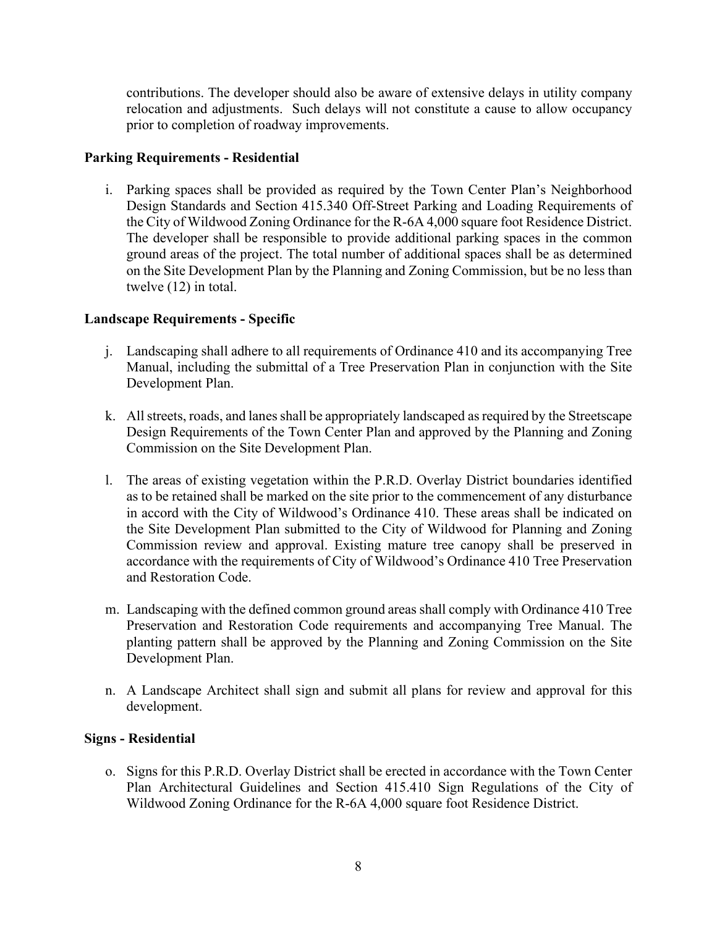contributions. The developer should also be aware of extensive delays in utility company relocation and adjustments. Such delays will not constitute a cause to allow occupancy prior to completion of roadway improvements.

## **Parking Requirements - Residential**

i. Parking spaces shall be provided as required by the Town Center Plan's Neighborhood Design Standards and Section 415.340 Off-Street Parking and Loading Requirements of the City of Wildwood Zoning Ordinance for the R-6A 4,000 square foot Residence District. The developer shall be responsible to provide additional parking spaces in the common ground areas of the project. The total number of additional spaces shall be as determined on the Site Development Plan by the Planning and Zoning Commission, but be no less than twelve (12) in total.

## **Landscape Requirements - Specific**

- j. Landscaping shall adhere to all requirements of Ordinance 410 and its accompanying Tree Manual, including the submittal of a Tree Preservation Plan in conjunction with the Site Development Plan.
- k. All streets, roads, and lanes shall be appropriately landscaped as required by the Streetscape Design Requirements of the Town Center Plan and approved by the Planning and Zoning Commission on the Site Development Plan.
- l. The areas of existing vegetation within the P.R.D. Overlay District boundaries identified as to be retained shall be marked on the site prior to the commencement of any disturbance in accord with the City of Wildwood's Ordinance 410. These areas shall be indicated on the Site Development Plan submitted to the City of Wildwood for Planning and Zoning Commission review and approval. Existing mature tree canopy shall be preserved in accordance with the requirements of City of Wildwood's Ordinance 410 Tree Preservation and Restoration Code.
- m. Landscaping with the defined common ground areas shall comply with Ordinance 410 Tree Preservation and Restoration Code requirements and accompanying Tree Manual. The planting pattern shall be approved by the Planning and Zoning Commission on the Site Development Plan.
- n. A Landscape Architect shall sign and submit all plans for review and approval for this development.

# **Signs - Residential**

o. Signs for this P.R.D. Overlay District shall be erected in accordance with the Town Center Plan Architectural Guidelines and Section 415.410 Sign Regulations of the City of Wildwood Zoning Ordinance for the R-6A 4,000 square foot Residence District.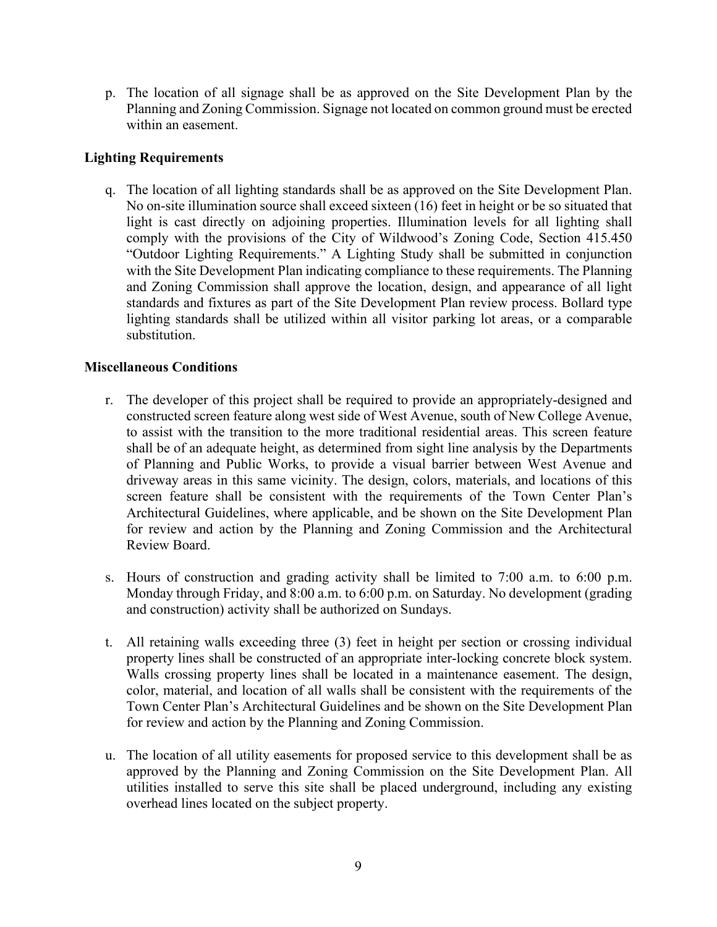p. The location of all signage shall be as approved on the Site Development Plan by the Planning and Zoning Commission. Signage not located on common ground must be erected within an easement.

## **Lighting Requirements**

q. The location of all lighting standards shall be as approved on the Site Development Plan. No on-site illumination source shall exceed sixteen (16) feet in height or be so situated that light is cast directly on adjoining properties. Illumination levels for all lighting shall comply with the provisions of the City of Wildwood's Zoning Code, Section 415.450 "Outdoor Lighting Requirements." A Lighting Study shall be submitted in conjunction with the Site Development Plan indicating compliance to these requirements. The Planning and Zoning Commission shall approve the location, design, and appearance of all light standards and fixtures as part of the Site Development Plan review process. Bollard type lighting standards shall be utilized within all visitor parking lot areas, or a comparable substitution.

## **Miscellaneous Conditions**

- r. The developer of this project shall be required to provide an appropriately-designed and constructed screen feature along west side of West Avenue, south of New College Avenue, to assist with the transition to the more traditional residential areas. This screen feature shall be of an adequate height, as determined from sight line analysis by the Departments of Planning and Public Works, to provide a visual barrier between West Avenue and driveway areas in this same vicinity. The design, colors, materials, and locations of this screen feature shall be consistent with the requirements of the Town Center Plan's Architectural Guidelines, where applicable, and be shown on the Site Development Plan for review and action by the Planning and Zoning Commission and the Architectural Review Board.
- s. Hours of construction and grading activity shall be limited to 7:00 a.m. to 6:00 p.m. Monday through Friday, and 8:00 a.m. to 6:00 p.m. on Saturday. No development (grading and construction) activity shall be authorized on Sundays.
- t. All retaining walls exceeding three (3) feet in height per section or crossing individual property lines shall be constructed of an appropriate inter-locking concrete block system. Walls crossing property lines shall be located in a maintenance easement. The design, color, material, and location of all walls shall be consistent with the requirements of the Town Center Plan's Architectural Guidelines and be shown on the Site Development Plan for review and action by the Planning and Zoning Commission.
- u. The location of all utility easements for proposed service to this development shall be as approved by the Planning and Zoning Commission on the Site Development Plan. All utilities installed to serve this site shall be placed underground, including any existing overhead lines located on the subject property.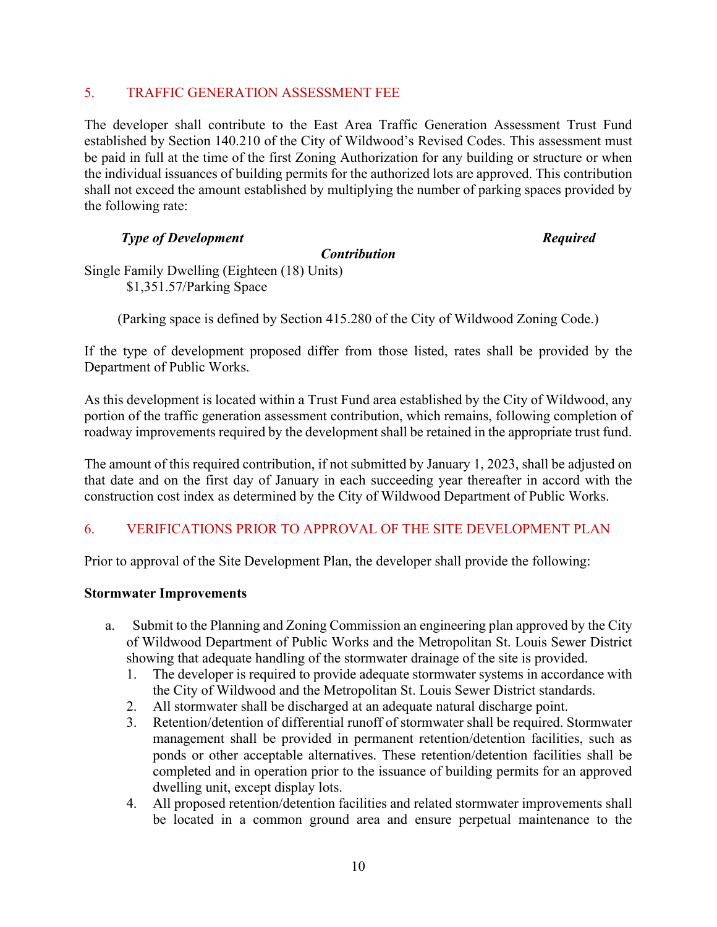## 5. TRAFFIC GENERATION ASSESSMENT FEE

The developer shall contribute to the East Area Traffic Generation Assessment Trust Fund established by Section 140.210 of the City of Wildwood's Revised Codes. This assessment must be paid in full at the time of the first Zoning Authorization for any building or structure or when the individual issuances of building permits for the authorized lots are approved. This contribution shall not exceed the amount established by multiplying the number of parking spaces provided by the following rate:

## *Type of Development Required*

#### *Contribution*

Single Family Dwelling (Eighteen (18) Units) \$1,351.57/Parking Space

(Parking space is defined by Section 415.280 of the City of Wildwood Zoning Code.)

If the type of development proposed differ from those listed, rates shall be provided by the Department of Public Works.

As this development is located within a Trust Fund area established by the City of Wildwood, any portion of the traffic generation assessment contribution, which remains, following completion of roadway improvements required by the development shall be retained in the appropriate trust fund.

The amount of this required contribution, if not submitted by January 1, 2023, shall be adjusted on that date and on the first day of January in each succeeding year thereafter in accord with the construction cost index as determined by the City of Wildwood Department of Public Works.

# 6. VERIFICATIONS PRIOR TO APPROVAL OF THE SITE DEVELOPMENT PLAN

Prior to approval of the Site Development Plan, the developer shall provide the following:

#### **Stormwater Improvements**

- a. Submit to the Planning and Zoning Commission an engineering plan approved by the City of Wildwood Department of Public Works and the Metropolitan St. Louis Sewer District showing that adequate handling of the stormwater drainage of the site is provided.
	- 1. The developer is required to provide adequate stormwater systems in accordance with the City of Wildwood and the Metropolitan St. Louis Sewer District standards.
	- 2. All stormwater shall be discharged at an adequate natural discharge point.
	- 3. Retention/detention of differential runoff of stormwater shall be required. Stormwater management shall be provided in permanent retention/detention facilities, such as ponds or other acceptable alternatives. These retention/detention facilities shall be completed and in operation prior to the issuance of building permits for an approved dwelling unit, except display lots.
	- 4. All proposed retention/detention facilities and related stormwater improvements shall be located in a common ground area and ensure perpetual maintenance to the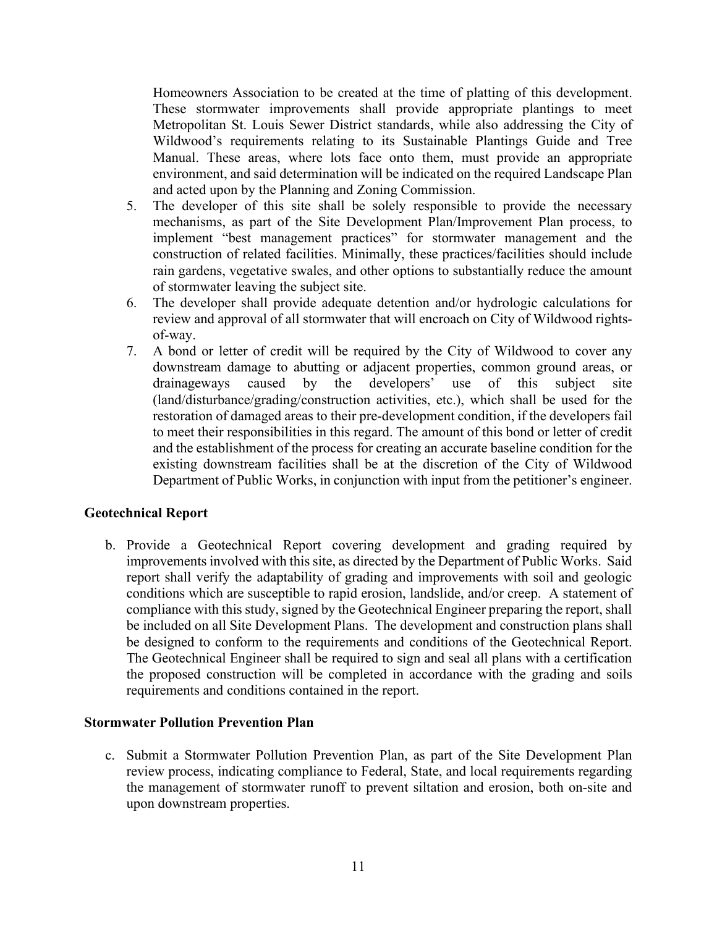Homeowners Association to be created at the time of platting of this development. These stormwater improvements shall provide appropriate plantings to meet Metropolitan St. Louis Sewer District standards, while also addressing the City of Wildwood's requirements relating to its Sustainable Plantings Guide and Tree Manual. These areas, where lots face onto them, must provide an appropriate environment, and said determination will be indicated on the required Landscape Plan and acted upon by the Planning and Zoning Commission.

- 5. The developer of this site shall be solely responsible to provide the necessary mechanisms, as part of the Site Development Plan/Improvement Plan process, to implement "best management practices" for stormwater management and the construction of related facilities. Minimally, these practices/facilities should include rain gardens, vegetative swales, and other options to substantially reduce the amount of stormwater leaving the subject site.
- 6. The developer shall provide adequate detention and/or hydrologic calculations for review and approval of all stormwater that will encroach on City of Wildwood rightsof-way.
- 7. A bond or letter of credit will be required by the City of Wildwood to cover any downstream damage to abutting or adjacent properties, common ground areas, or drainageways caused by the developers' use of this subject site (land/disturbance/grading/construction activities, etc.), which shall be used for the restoration of damaged areas to their pre-development condition, if the developers fail to meet their responsibilities in this regard. The amount of this bond or letter of credit and the establishment of the process for creating an accurate baseline condition for the existing downstream facilities shall be at the discretion of the City of Wildwood Department of Public Works, in conjunction with input from the petitioner's engineer.

# **Geotechnical Report**

b. Provide a Geotechnical Report covering development and grading required by improvements involved with this site, as directed by the Department of Public Works. Said report shall verify the adaptability of grading and improvements with soil and geologic conditions which are susceptible to rapid erosion, landslide, and/or creep. A statement of compliance with this study, signed by the Geotechnical Engineer preparing the report, shall be included on all Site Development Plans. The development and construction plans shall be designed to conform to the requirements and conditions of the Geotechnical Report. The Geotechnical Engineer shall be required to sign and seal all plans with a certification the proposed construction will be completed in accordance with the grading and soils requirements and conditions contained in the report.

#### **Stormwater Pollution Prevention Plan**

c. Submit a Stormwater Pollution Prevention Plan, as part of the Site Development Plan review process, indicating compliance to Federal, State, and local requirements regarding the management of stormwater runoff to prevent siltation and erosion, both on-site and upon downstream properties.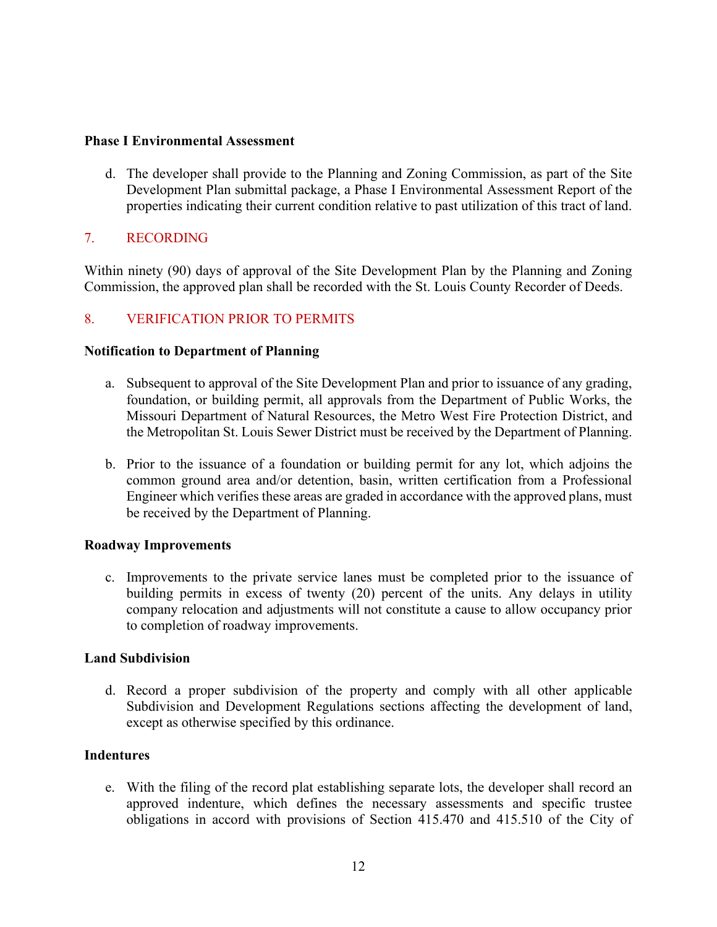#### **Phase I Environmental Assessment**

d. The developer shall provide to the Planning and Zoning Commission, as part of the Site Development Plan submittal package, a Phase I Environmental Assessment Report of the properties indicating their current condition relative to past utilization of this tract of land.

# 7. RECORDING

Within ninety (90) days of approval of the Site Development Plan by the Planning and Zoning Commission, the approved plan shall be recorded with the St. Louis County Recorder of Deeds.

# 8. VERIFICATION PRIOR TO PERMITS

#### **Notification to Department of Planning**

- a. Subsequent to approval of the Site Development Plan and prior to issuance of any grading, foundation, or building permit, all approvals from the Department of Public Works, the Missouri Department of Natural Resources, the Metro West Fire Protection District, and the Metropolitan St. Louis Sewer District must be received by the Department of Planning.
- b. Prior to the issuance of a foundation or building permit for any lot, which adjoins the common ground area and/or detention, basin, written certification from a Professional Engineer which verifies these areas are graded in accordance with the approved plans, must be received by the Department of Planning.

#### **Roadway Improvements**

c. Improvements to the private service lanes must be completed prior to the issuance of building permits in excess of twenty (20) percent of the units. Any delays in utility company relocation and adjustments will not constitute a cause to allow occupancy prior to completion of roadway improvements.

#### **Land Subdivision**

d. Record a proper subdivision of the property and comply with all other applicable Subdivision and Development Regulations sections affecting the development of land, except as otherwise specified by this ordinance.

#### **Indentures**

e. With the filing of the record plat establishing separate lots, the developer shall record an approved indenture, which defines the necessary assessments and specific trustee obligations in accord with provisions of Section 415.470 and 415.510 of the City of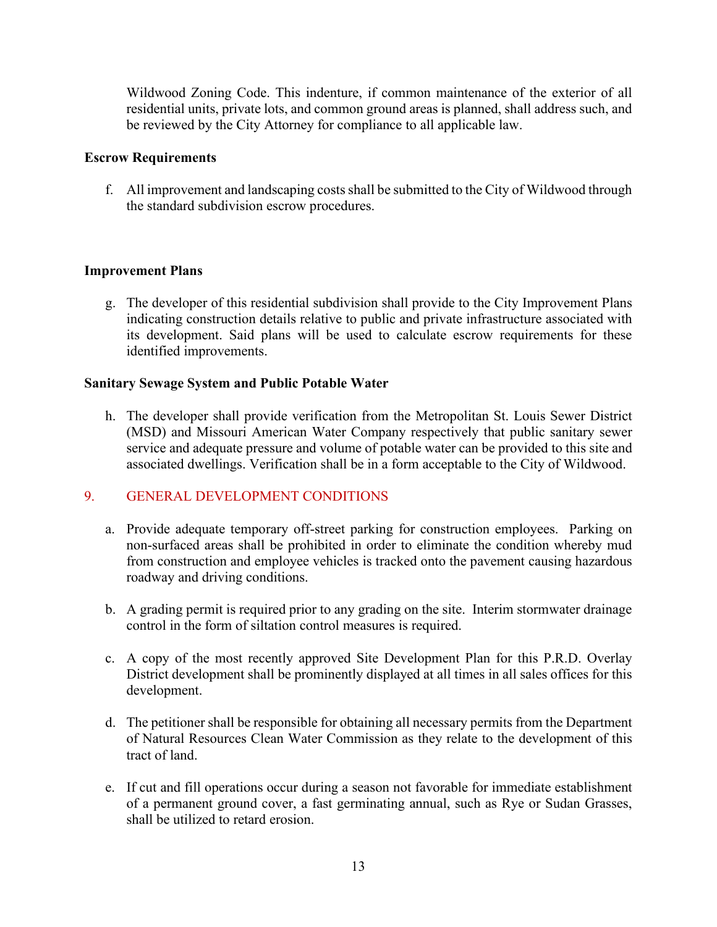Wildwood Zoning Code. This indenture, if common maintenance of the exterior of all residential units, private lots, and common ground areas is planned, shall address such, and be reviewed by the City Attorney for compliance to all applicable law.

## **Escrow Requirements**

f. All improvement and landscaping costs shall be submitted to the City of Wildwood through the standard subdivision escrow procedures.

# **Improvement Plans**

g. The developer of this residential subdivision shall provide to the City Improvement Plans indicating construction details relative to public and private infrastructure associated with its development. Said plans will be used to calculate escrow requirements for these identified improvements.

## **Sanitary Sewage System and Public Potable Water**

h. The developer shall provide verification from the Metropolitan St. Louis Sewer District (MSD) and Missouri American Water Company respectively that public sanitary sewer service and adequate pressure and volume of potable water can be provided to this site and associated dwellings. Verification shall be in a form acceptable to the City of Wildwood.

# 9. GENERAL DEVELOPMENT CONDITIONS

- a. Provide adequate temporary off-street parking for construction employees. Parking on non-surfaced areas shall be prohibited in order to eliminate the condition whereby mud from construction and employee vehicles is tracked onto the pavement causing hazardous roadway and driving conditions.
- b. A grading permit is required prior to any grading on the site. Interim stormwater drainage control in the form of siltation control measures is required.
- c. A copy of the most recently approved Site Development Plan for this P.R.D. Overlay District development shall be prominently displayed at all times in all sales offices for this development.
- d. The petitioner shall be responsible for obtaining all necessary permits from the Department of Natural Resources Clean Water Commission as they relate to the development of this tract of land.
- e. If cut and fill operations occur during a season not favorable for immediate establishment of a permanent ground cover, a fast germinating annual, such as Rye or Sudan Grasses, shall be utilized to retard erosion.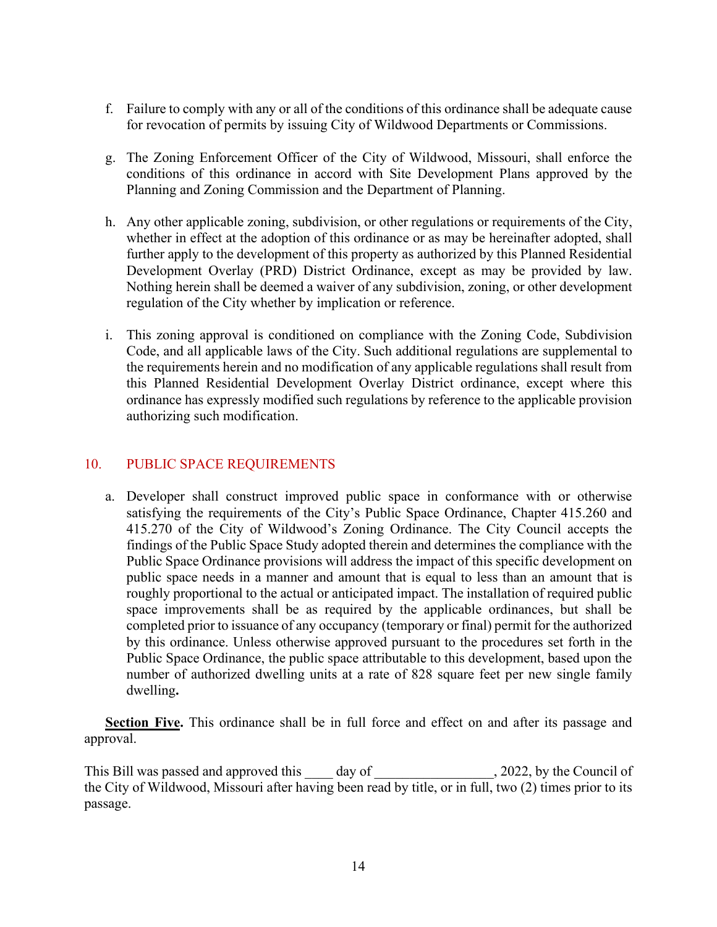- f. Failure to comply with any or all of the conditions of this ordinance shall be adequate cause for revocation of permits by issuing City of Wildwood Departments or Commissions.
- g. The Zoning Enforcement Officer of the City of Wildwood, Missouri, shall enforce the conditions of this ordinance in accord with Site Development Plans approved by the Planning and Zoning Commission and the Department of Planning.
- h. Any other applicable zoning, subdivision, or other regulations or requirements of the City, whether in effect at the adoption of this ordinance or as may be hereinafter adopted, shall further apply to the development of this property as authorized by this Planned Residential Development Overlay (PRD) District Ordinance, except as may be provided by law. Nothing herein shall be deemed a waiver of any subdivision, zoning, or other development regulation of the City whether by implication or reference.
- i. This zoning approval is conditioned on compliance with the Zoning Code, Subdivision Code, and all applicable laws of the City. Such additional regulations are supplemental to the requirements herein and no modification of any applicable regulations shall result from this Planned Residential Development Overlay District ordinance, except where this ordinance has expressly modified such regulations by reference to the applicable provision authorizing such modification.

# 10. PUBLIC SPACE REQUIREMENTS

a. Developer shall construct improved public space in conformance with or otherwise satisfying the requirements of the City's Public Space Ordinance, Chapter 415.260 and 415.270 of the City of Wildwood's Zoning Ordinance. The City Council accepts the findings of the Public Space Study adopted therein and determines the compliance with the Public Space Ordinance provisions will address the impact of this specific development on public space needs in a manner and amount that is equal to less than an amount that is roughly proportional to the actual or anticipated impact. The installation of required public space improvements shall be as required by the applicable ordinances, but shall be completed prior to issuance of any occupancy (temporary or final) permit for the authorized by this ordinance. Unless otherwise approved pursuant to the procedures set forth in the Public Space Ordinance, the public space attributable to this development, based upon the number of authorized dwelling units at a rate of 828 square feet per new single family dwelling**.**

**Section Five.** This ordinance shall be in full force and effect on and after its passage and approval.

This Bill was passed and approved this \_\_\_\_ day of \_\_\_\_\_\_\_\_\_\_\_\_\_\_\_, 2022, by the Council of the City of Wildwood, Missouri after having been read by title, or in full, two (2) times prior to its passage.